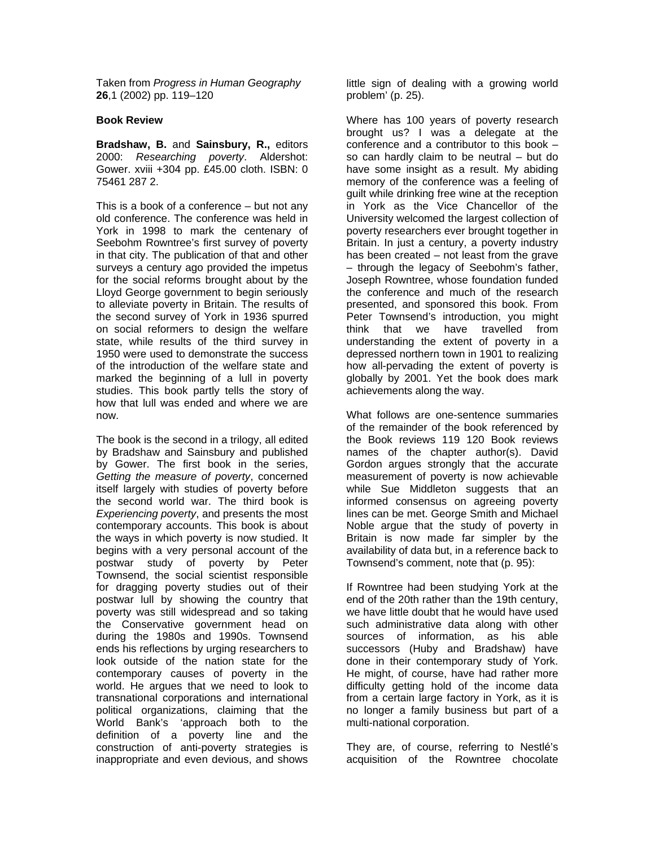Taken from *Progress in Human Geography*  **26**,1 (2002) pp. 119–120

## **Book Review**

**Bradshaw, B.** and **Sainsbury, R.,** editors 2000: *Researching poverty*. Aldershot: Gower. xviii +304 pp. £45.00 cloth. ISBN: 0 75461 287 2.

This is a book of a conference – but not any old conference. The conference was held in York in 1998 to mark the centenary of Seebohm Rowntree's first survey of poverty in that city. The publication of that and other surveys a century ago provided the impetus for the social reforms brought about by the Lloyd George government to begin seriously to alleviate poverty in Britain. The results of the second survey of York in 1936 spurred on social reformers to design the welfare state, while results of the third survey in 1950 were used to demonstrate the success of the introduction of the welfare state and marked the beginning of a lull in poverty studies. This book partly tells the story of how that lull was ended and where we are now.

The book is the second in a trilogy, all edited by Bradshaw and Sainsbury and published by Gower. The first book in the series, *Getting the measure of poverty*, concerned itself largely with studies of poverty before the second world war. The third book is *Experiencing poverty*, and presents the most contemporary accounts. This book is about the ways in which poverty is now studied. It begins with a very personal account of the postwar study of poverty by Peter Townsend, the social scientist responsible for dragging poverty studies out of their postwar lull by showing the country that poverty was still widespread and so taking the Conservative government head on during the 1980s and 1990s. Townsend ends his reflections by urging researchers to look outside of the nation state for the contemporary causes of poverty in the world. He argues that we need to look to transnational corporations and international political organizations, claiming that the World Bank's 'approach both to the definition of a poverty line and the construction of anti-poverty strategies is inappropriate and even devious, and shows

little sign of dealing with a growing world problem' (p. 25).

Where has 100 years of poverty research brought us? I was a delegate at the conference and a contributor to this book – so can hardly claim to be neutral – but do have some insight as a result. My abiding memory of the conference was a feeling of guilt while drinking free wine at the reception in York as the Vice Chancellor of the University welcomed the largest collection of poverty researchers ever brought together in Britain. In just a century, a poverty industry has been created – not least from the grave – through the legacy of Seebohm's father, Joseph Rowntree, whose foundation funded the conference and much of the research presented, and sponsored this book. From Peter Townsend's introduction, you might think that we have travelled from understanding the extent of poverty in a depressed northern town in 1901 to realizing how all-pervading the extent of poverty is globally by 2001. Yet the book does mark achievements along the way.

What follows are one-sentence summaries of the remainder of the book referenced by the Book reviews 119 120 Book reviews names of the chapter author(s). David Gordon argues strongly that the accurate measurement of poverty is now achievable while Sue Middleton suggests that an informed consensus on agreeing poverty lines can be met. George Smith and Michael Noble argue that the study of poverty in Britain is now made far simpler by the availability of data but, in a reference back to Townsend's comment, note that (p. 95):

If Rowntree had been studying York at the end of the 20th rather than the 19th century, we have little doubt that he would have used such administrative data along with other sources of information, as his able successors (Huby and Bradshaw) have done in their contemporary study of York. He might, of course, have had rather more difficulty getting hold of the income data from a certain large factory in York, as it is no longer a family business but part of a multi-national corporation.

They are, of course, referring to Nestlé's acquisition of the Rowntree chocolate